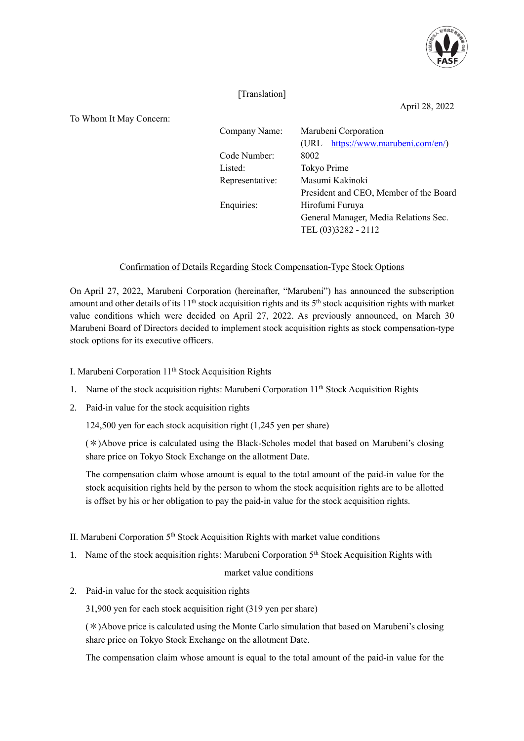

## [Translation]

April 28, 2022

To Whom It May Concern:

| Company Name:        | Marubeni Corporation                   |
|----------------------|----------------------------------------|
|                      |                                        |
|                      | (URL https://www.marubeni.com/en/)     |
| Code Number:<br>8002 |                                        |
| Listed:              |                                        |
| Representative:      | Masumi Kakinoki                        |
|                      | President and CEO, Member of the Board |
| Enquiries:           | Hirofumi Furuya                        |
|                      | General Manager, Media Relations Sec.  |
|                      | TEL (03)3282 - 2112                    |
|                      | Tokyo Prime                            |

## Confirmation of Details Regarding Stock Compensation-Type Stock Options

On April 27, 2022, Marubeni Corporation (hereinafter, "Marubeni") has announced the subscription amount and other details of its  $11<sup>th</sup>$  stock acquisition rights and its  $5<sup>th</sup>$  stock acquisition rights with market value conditions which were decided on April 27, 2022. As previously announced, on March 30 Marubeni Board of Directors decided to implement stock acquisition rights as stock compensation-type stock options for its executive officers.

- I. Marubeni Corporation 11<sup>th</sup> Stock Acquisition Rights
- 1. Name of the stock acquisition rights: Marubeni Corporation 11<sup>th</sup> Stock Acquisition Rights
- 2. Paid-in value for the stock acquisition rights

124,500 yen for each stock acquisition right (1,245 yen per share)

1. (\*)Above price is calculated using the Black-Scholes model that based on Marubeni's closing share price on Tokyo Stock Exchange on the allotment Date.

The compensation claim whose amount is equal to the total amount of the paid-in value for the stock acquisition rights held by the person to whom the stock acquisition rights are to be allotted is offset by his or her obligation to pay the paid-in value for the stock acquisition rights.

- II. Marubeni Corporation 5<sup>th</sup> Stock Acquisition Rights with market value conditions
- 1. Name of the stock acquisition rights: Marubeni Corporation 5<sup>th</sup> Stock Acquisition Rights with

## market value conditions

2. Paid-in value for the stock acquisition rights

31,900 yen for each stock acquisition right (319 yen per share)

 $(*)$ Above price is calculated using the Monte Carlo simulation that based on Marubeni's closing share price on Tokyo Stock Exchange on the allotment Date.

The compensation claim whose amount is equal to the total amount of the paid-in value for the